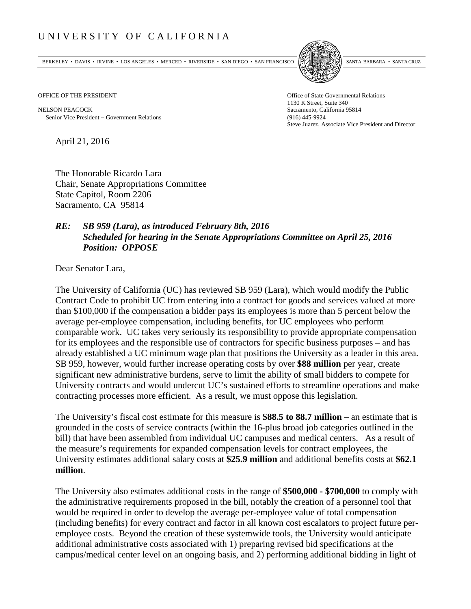## UNIVERSITY OF CALIFORNIA

BERKELEY • DAVIS • IRVINE • LOS ANGELES • MERCED • RIVERSIDE • SAN DIEGO • SAN FRANCISCO [5] SANTA BARBARA • SANTA CRUZ



OFFICE OF THE PRESIDENT STATES OF THE PRESIDENT

NELSON PEACOCK Sacramento, California 95814 Senior Vice President − Government Relations (916) 445-9924

1130 K Street, Suite 340 Steve Juarez, Associate Vice President and Director

April 21, 2016

The Honorable Ricardo Lara Chair, Senate Appropriations Committee State Capitol, Room 2206 Sacramento, CA 95814

## *RE: SB 959 (Lara), as introduced February 8th, 2016 Scheduled for hearing in the Senate Appropriations Committee on April 25, 2016 Position: OPPOSE*

Dear Senator Lara,

The University of California (UC) has reviewed SB 959 (Lara), which would modify the Public Contract Code to prohibit UC from entering into a contract for goods and services valued at more than \$100,000 if the compensation a bidder pays its employees is more than 5 percent below the average per-employee compensation, including benefits, for UC employees who perform comparable work. UC takes very seriously its responsibility to provide appropriate compensation for its employees and the responsible use of contractors for specific business purposes – and has already established a UC minimum wage plan that positions the University as a leader in this area. SB 959, however, would further increase operating costs by over **\$88 million** per year, create significant new administrative burdens, serve to limit the ability of small bidders to compete for University contracts and would undercut UC's sustained efforts to streamline operations and make contracting processes more efficient. As a result, we must oppose this legislation.

The University's fiscal cost estimate for this measure is **\$88.5 to 88.7 million** – an estimate that is grounded in the costs of service contracts (within the 16-plus broad job categories outlined in the bill) that have been assembled from individual UC campuses and medical centers. As a result of the measure's requirements for expanded compensation levels for contract employees, the University estimates additional salary costs at **\$25.9 million** and additional benefits costs at **\$62.1 million**.

The University also estimates additional costs in the range of **\$500,000 - \$700,000** to comply with the administrative requirements proposed in the bill, notably the creation of a personnel tool that would be required in order to develop the average per-employee value of total compensation (including benefits) for every contract and factor in all known cost escalators to project future peremployee costs. Beyond the creation of these systemwide tools, the University would anticipate additional administrative costs associated with 1) preparing revised bid specifications at the campus/medical center level on an ongoing basis, and 2) performing additional bidding in light of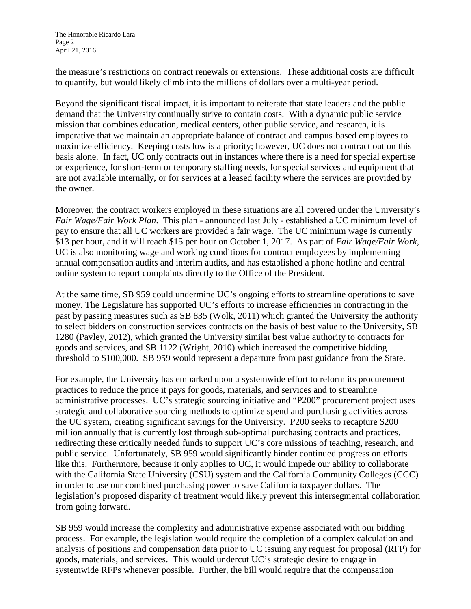the measure's restrictions on contract renewals or extensions. These additional costs are difficult to quantify, but would likely climb into the millions of dollars over a multi-year period.

Beyond the significant fiscal impact, it is important to reiterate that state leaders and the public demand that the University continually strive to contain costs. With a dynamic public service mission that combines education, medical centers, other public service, and research, it is imperative that we maintain an appropriate balance of contract and campus‐based employees to maximize efficiency. Keeping costs low is a priority; however, UC does not contract out on this basis alone. In fact, UC only contracts out in instances where there is a need for special expertise or experience, for short-term or temporary staffing needs, for special services and equipment that are not available internally, or for services at a leased facility where the services are provided by the owner.

Moreover, the contract workers employed in these situations are all covered under the University's *Fair Wage/Fair Work Plan*. This plan - announced last July - established a UC minimum level of pay to ensure that all UC workers are provided a fair wage. The UC minimum wage is currently \$13 per hour, and it will reach \$15 per hour on October 1, 2017. As part of *Fair Wage/Fair Work*, UC is also monitoring wage and working conditions for contract employees by implementing annual compensation audits and interim audits, and has established a phone hotline and central online system to report complaints directly to the Office of the President.

At the same time, SB 959 could undermine UC's ongoing efforts to streamline operations to save money. The Legislature has supported UC's efforts to increase efficiencies in contracting in the past by passing measures such as SB 835 (Wolk, 2011) which granted the University the authority to select bidders on construction services contracts on the basis of best value to the University, SB 1280 (Pavley, 2012), which granted the University similar best value authority to contracts for goods and services, and SB 1122 (Wright, 2010) which increased the competitive bidding threshold to \$100,000. SB 959 would represent a departure from past guidance from the State.

For example, the University has embarked upon a systemwide effort to reform its procurement practices to reduce the price it pays for goods, materials, and services and to streamline administrative processes. UC's strategic sourcing initiative and "P200" procurement project uses strategic and collaborative sourcing methods to optimize spend and purchasing activities across the UC system, creating significant savings for the University. P200 seeks to recapture \$200 million annually that is currently lost through sub-optimal purchasing contracts and practices, redirecting these critically needed funds to support UC's core missions of teaching, research, and public service. Unfortunately, SB 959 would significantly hinder continued progress on efforts like this. Furthermore, because it only applies to UC, it would impede our ability to collaborate with the California State University (CSU) system and the California Community Colleges (CCC) in order to use our combined purchasing power to save California taxpayer dollars. The legislation's proposed disparity of treatment would likely prevent this intersegmental collaboration from going forward.

SB 959 would increase the complexity and administrative expense associated with our bidding process. For example, the legislation would require the completion of a complex calculation and analysis of positions and compensation data prior to UC issuing any request for proposal (RFP) for goods, materials, and services. This would undercut UC's strategic desire to engage in systemwide RFPs whenever possible. Further, the bill would require that the compensation